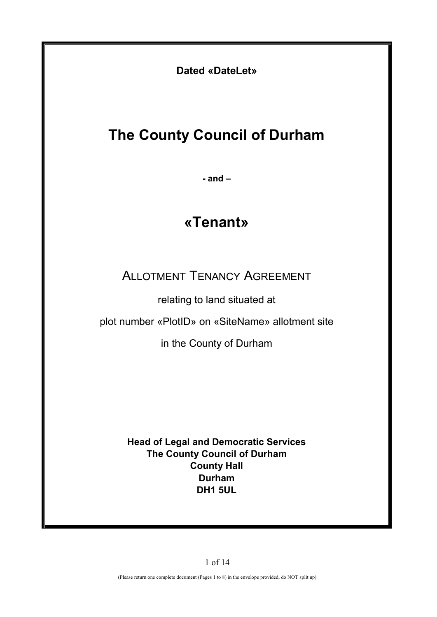**Dated «DateLet»**

# **The County Council of Durham**

**- and –** 

# **«Tenant»**

ALLOTMENT TENANCY AGREEMENT

relating to land situated at

plot number «PlotID» on «SiteName» allotment site

in the County of Durham

**Head of Legal and Democratic Services The County Council of Durham County Hall Durham DH1 5UL**

1 of 14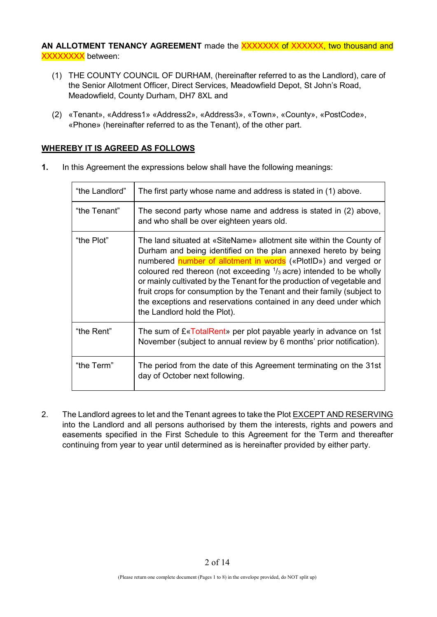AN ALLOTMENT TENANCY AGREEMENT made the XXXXXXX of XXXXXX, two thousand and **XXXXXXXX** between:

- (1) THE COUNTY COUNCIL OF DURHAM, (hereinafter referred to as the Landlord), care of the Senior Allotment Officer, Direct Services, Meadowfield Depot, St John's Road, Meadowfield, County Durham, DH7 8XL and
- (2) «Tenant», «Address1» «Address2», «Address3», «Town», «County», «PostCode», «Phone» (hereinafter referred to as the Tenant), of the other part.

## **WHEREBY IT IS AGREED AS FOLLOWS**

| "the Landlord" | The first party whose name and address is stated in (1) above.                                                                                                                                                                                                                                                                                                                                                                                                                                                                                     |
|----------------|----------------------------------------------------------------------------------------------------------------------------------------------------------------------------------------------------------------------------------------------------------------------------------------------------------------------------------------------------------------------------------------------------------------------------------------------------------------------------------------------------------------------------------------------------|
| "the Tenant"   | The second party whose name and address is stated in (2) above,<br>and who shall be over eighteen years old.                                                                                                                                                                                                                                                                                                                                                                                                                                       |
| "the Plot"     | The land situated at «SiteName» allotment site within the County of<br>Durham and being identified on the plan annexed hereto by being<br>numbered number of allotment in words («PlotID») and verged or<br>coloured red thereon (not exceeding $\frac{1}{3}$ acre) intended to be wholly<br>or mainly cultivated by the Tenant for the production of vegetable and<br>fruit crops for consumption by the Tenant and their family (subject to<br>the exceptions and reservations contained in any deed under which<br>the Landlord hold the Plot). |
| "the Rent"     | The sum of $E \triangleleft \text{TotalRent}$ per plot payable yearly in advance on 1st<br>November (subject to annual review by 6 months' prior notification).                                                                                                                                                                                                                                                                                                                                                                                    |
| "the Term"     | The period from the date of this Agreement terminating on the 31st<br>day of October next following.                                                                                                                                                                                                                                                                                                                                                                                                                                               |

**1.** In this Agreement the expressions below shall have the following meanings:

2. The Landlord agrees to let and the Tenant agrees to take the Plot EXCEPT AND RESERVING into the Landlord and all persons authorised by them the interests, rights and powers and easements specified in the First Schedule to this Agreement for the Term and thereafter continuing from year to year until determined as is hereinafter provided by either party.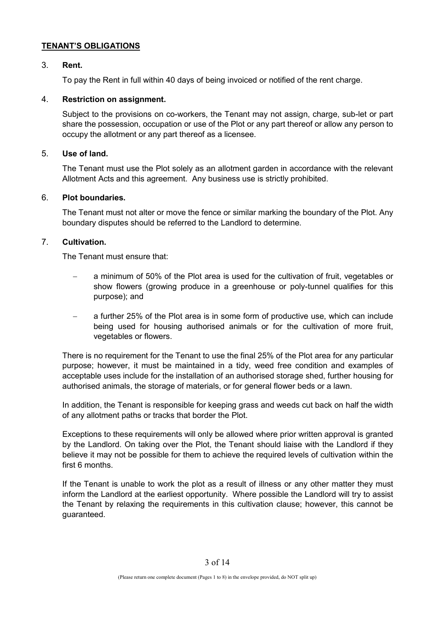## **TENANT'S OBLIGATIONS**

## 3. **Rent.**

To pay the Rent in full within 40 days of being invoiced or notified of the rent charge.

## 4. **Restriction on assignment.**

Subject to the provisions on co-workers, the Tenant may not assign, charge, sub-let or part share the possession, occupation or use of the Plot or any part thereof or allow any person to occupy the allotment or any part thereof as a licensee.

## 5. **Use of land.**

The Tenant must use the Plot solely as an allotment garden in accordance with the relevant Allotment Acts and this agreement. Any business use is strictly prohibited.

## 6. **Plot boundaries.**

The Tenant must not alter or move the fence or similar marking the boundary of the Plot. Any boundary disputes should be referred to the Landlord to determine.

# 7. **Cultivation.**

The Tenant must ensure that:

- a minimum of 50% of the Plot area is used for the cultivation of fruit, vegetables or show flowers (growing produce in a greenhouse or poly-tunnel qualifies for this purpose); and
- a further 25% of the Plot area is in some form of productive use, which can include being used for housing authorised animals or for the cultivation of more fruit, vegetables or flowers.

There is no requirement for the Tenant to use the final 25% of the Plot area for any particular purpose; however, it must be maintained in a tidy, weed free condition and examples of acceptable uses include for the installation of an authorised storage shed, further housing for authorised animals, the storage of materials, or for general flower beds or a lawn.

In addition, the Tenant is responsible for keeping grass and weeds cut back on half the width of any allotment paths or tracks that border the Plot.

Exceptions to these requirements will only be allowed where prior written approval is granted by the Landlord. On taking over the Plot, the Tenant should liaise with the Landlord if they believe it may not be possible for them to achieve the required levels of cultivation within the first 6 months.

If the Tenant is unable to work the plot as a result of illness or any other matter they must inform the Landlord at the earliest opportunity. Where possible the Landlord will try to assist the Tenant by relaxing the requirements in this cultivation clause; however, this cannot be guaranteed.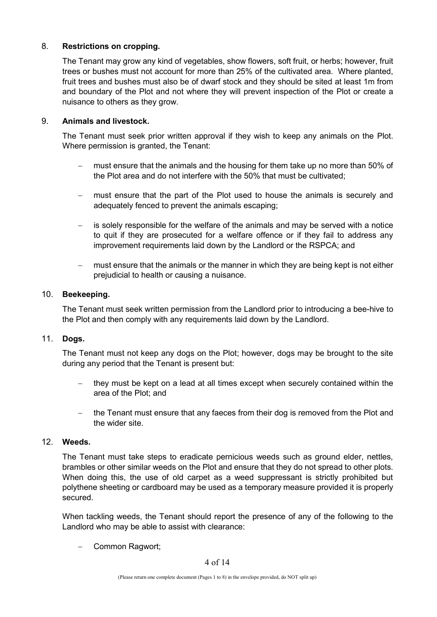## 8. **Restrictions on cropping.**

The Tenant may grow any kind of vegetables, show flowers, soft fruit, or herbs; however, fruit trees or bushes must not account for more than 25% of the cultivated area. Where planted, fruit trees and bushes must also be of dwarf stock and they should be sited at least 1m from and boundary of the Plot and not where they will prevent inspection of the Plot or create a nuisance to others as they grow.

## 9. **Animals and livestock.**

The Tenant must seek prior written approval if they wish to keep any animals on the Plot. Where permission is granted, the Tenant:

- − must ensure that the animals and the housing for them take up no more than 50% of the Plot area and do not interfere with the 50% that must be cultivated;
- − must ensure that the part of the Plot used to house the animals is securely and adequately fenced to prevent the animals escaping;
- − is solely responsible for the welfare of the animals and may be served with a notice to quit if they are prosecuted for a welfare offence or if they fail to address any improvement requirements laid down by the Landlord or the RSPCA; and
- must ensure that the animals or the manner in which they are being kept is not either prejudicial to health or causing a nuisance.

## 10. **Beekeeping.**

The Tenant must seek written permission from the Landlord prior to introducing a bee-hive to the Plot and then comply with any requirements laid down by the Landlord.

## 11. **Dogs.**

The Tenant must not keep any dogs on the Plot; however, dogs may be brought to the site during any period that the Tenant is present but:

- they must be kept on a lead at all times except when securely contained within the area of the Plot; and
- − the Tenant must ensure that any faeces from their dog is removed from the Plot and the wider site.

## 12. **Weeds.**

The Tenant must take steps to eradicate pernicious weeds such as ground elder, nettles, brambles or other similar weeds on the Plot and ensure that they do not spread to other plots. When doing this, the use of old carpet as a weed suppressant is strictly prohibited but polythene sheeting or cardboard may be used as a temporary measure provided it is properly secured.

When tackling weeds, the Tenant should report the presence of any of the following to the Landlord who may be able to assist with clearance:

− Common Ragwort;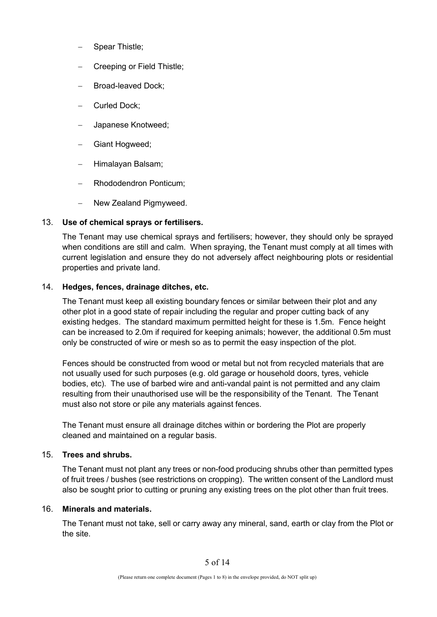- − Spear Thistle;
- − Creeping or Field Thistle;
- − Broad-leaved Dock;
- − Curled Dock;
- − Japanese Knotweed;
- − Giant Hogweed;
- − Himalayan Balsam;
- − Rhododendron Ponticum;
- − New Zealand Pigmyweed.

## 13. **Use of chemical sprays or fertilisers.**

The Tenant may use chemical sprays and fertilisers; however, they should only be sprayed when conditions are still and calm. When spraying, the Tenant must comply at all times with current legislation and ensure they do not adversely affect neighbouring plots or residential properties and private land.

## 14. **Hedges, fences, drainage ditches, etc.**

The Tenant must keep all existing boundary fences or similar between their plot and any other plot in a good state of repair including the regular and proper cutting back of any existing hedges. The standard maximum permitted height for these is 1.5m. Fence height can be increased to 2.0m if required for keeping animals; however, the additional 0.5m must only be constructed of wire or mesh so as to permit the easy inspection of the plot.

Fences should be constructed from wood or metal but not from recycled materials that are not usually used for such purposes (e.g. old garage or household doors, tyres, vehicle bodies, etc). The use of barbed wire and anti-vandal paint is not permitted and any claim resulting from their unauthorised use will be the responsibility of the Tenant. The Tenant must also not store or pile any materials against fences.

The Tenant must ensure all drainage ditches within or bordering the Plot are properly cleaned and maintained on a regular basis.

## 15. **Trees and shrubs.**

The Tenant must not plant any trees or non-food producing shrubs other than permitted types of fruit trees / bushes (see restrictions on cropping). The written consent of the Landlord must also be sought prior to cutting or pruning any existing trees on the plot other than fruit trees.

## 16. **Minerals and materials.**

The Tenant must not take, sell or carry away any mineral, sand, earth or clay from the Plot or the site.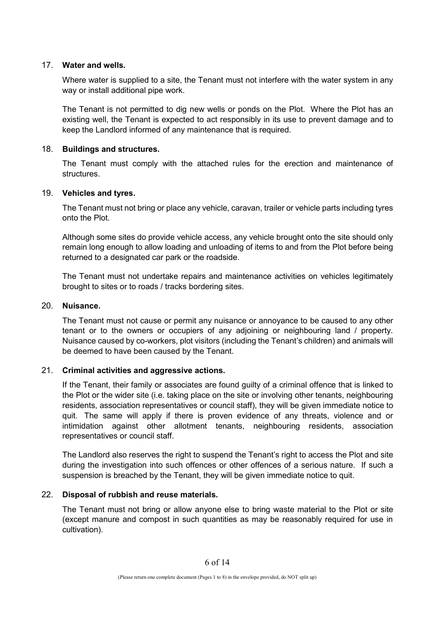## 17. **Water and wells.**

Where water is supplied to a site, the Tenant must not interfere with the water system in any way or install additional pipe work.

The Tenant is not permitted to dig new wells or ponds on the Plot. Where the Plot has an existing well, the Tenant is expected to act responsibly in its use to prevent damage and to keep the Landlord informed of any maintenance that is required.

#### 18. **Buildings and structures.**

The Tenant must comply with the attached rules for the erection and maintenance of structures.

#### 19. **Vehicles and tyres.**

The Tenant must not bring or place any vehicle, caravan, trailer or vehicle parts including tyres onto the Plot.

Although some sites do provide vehicle access, any vehicle brought onto the site should only remain long enough to allow loading and unloading of items to and from the Plot before being returned to a designated car park or the roadside.

The Tenant must not undertake repairs and maintenance activities on vehicles legitimately brought to sites or to roads / tracks bordering sites.

#### 20. **Nuisance.**

The Tenant must not cause or permit any nuisance or annoyance to be caused to any other tenant or to the owners or occupiers of any adjoining or neighbouring land / property. Nuisance caused by co-workers, plot visitors (including the Tenant's children) and animals will be deemed to have been caused by the Tenant.

## 21. **Criminal activities and aggressive actions.**

If the Tenant, their family or associates are found guilty of a criminal offence that is linked to the Plot or the wider site (i.e. taking place on the site or involving other tenants, neighbouring residents, association representatives or council staff), they will be given immediate notice to quit. The same will apply if there is proven evidence of any threats, violence and or intimidation against other allotment tenants, neighbouring residents, association representatives or council staff.

The Landlord also reserves the right to suspend the Tenant's right to access the Plot and site during the investigation into such offences or other offences of a serious nature. If such a suspension is breached by the Tenant, they will be given immediate notice to quit.

## 22. **Disposal of rubbish and reuse materials.**

The Tenant must not bring or allow anyone else to bring waste material to the Plot or site (except manure and compost in such quantities as may be reasonably required for use in cultivation).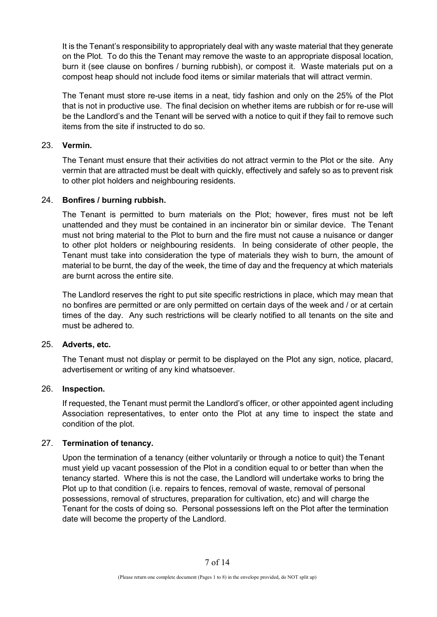It is the Tenant's responsibility to appropriately deal with any waste material that they generate on the Plot. To do this the Tenant may remove the waste to an appropriate disposal location, burn it (see clause on bonfires / burning rubbish), or compost it. Waste materials put on a compost heap should not include food items or similar materials that will attract vermin.

The Tenant must store re-use items in a neat, tidy fashion and only on the 25% of the Plot that is not in productive use. The final decision on whether items are rubbish or for re-use will be the Landlord's and the Tenant will be served with a notice to quit if they fail to remove such items from the site if instructed to do so.

## 23. **Vermin.**

The Tenant must ensure that their activities do not attract vermin to the Plot or the site. Any vermin that are attracted must be dealt with quickly, effectively and safely so as to prevent risk to other plot holders and neighbouring residents.

## 24. **Bonfires / burning rubbish.**

The Tenant is permitted to burn materials on the Plot; however, fires must not be left unattended and they must be contained in an incinerator bin or similar device. The Tenant must not bring material to the Plot to burn and the fire must not cause a nuisance or danger to other plot holders or neighbouring residents. In being considerate of other people, the Tenant must take into consideration the type of materials they wish to burn, the amount of material to be burnt, the day of the week, the time of day and the frequency at which materials are burnt across the entire site.

The Landlord reserves the right to put site specific restrictions in place, which may mean that no bonfires are permitted or are only permitted on certain days of the week and / or at certain times of the day. Any such restrictions will be clearly notified to all tenants on the site and must be adhered to.

## 25. **Adverts, etc.**

The Tenant must not display or permit to be displayed on the Plot any sign, notice, placard, advertisement or writing of any kind whatsoever.

## 26. **Inspection.**

If requested, the Tenant must permit the Landlord's officer, or other appointed agent including Association representatives, to enter onto the Plot at any time to inspect the state and condition of the plot.

## 27. **Termination of tenancy.**

Upon the termination of a tenancy (either voluntarily or through a notice to quit) the Tenant must yield up vacant possession of the Plot in a condition equal to or better than when the tenancy started. Where this is not the case, the Landlord will undertake works to bring the Plot up to that condition (i.e. repairs to fences, removal of waste, removal of personal possessions, removal of structures, preparation for cultivation, etc) and will charge the Tenant for the costs of doing so. Personal possessions left on the Plot after the termination date will become the property of the Landlord.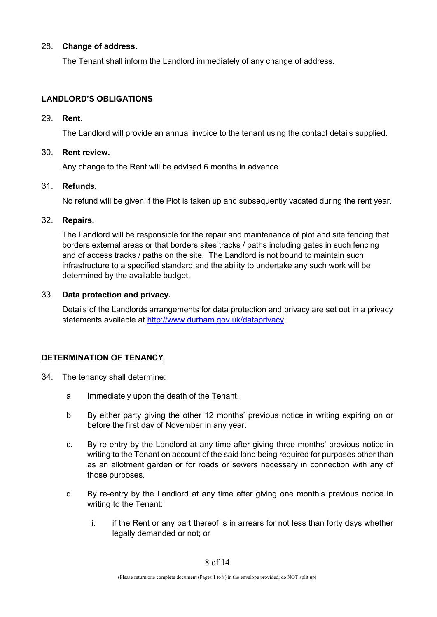## 28. **Change of address.**

The Tenant shall inform the Landlord immediately of any change of address.

## **LANDLORD'S OBLIGATIONS**

#### 29. **Rent.**

The Landlord will provide an annual invoice to the tenant using the contact details supplied.

## 30. **Rent review.**

Any change to the Rent will be advised 6 months in advance.

## 31. **Refunds.**

No refund will be given if the Plot is taken up and subsequently vacated during the rent year.

#### 32. **Repairs.**

The Landlord will be responsible for the repair and maintenance of plot and site fencing that borders external areas or that borders sites tracks / paths including gates in such fencing and of access tracks / paths on the site. The Landlord is not bound to maintain such infrastructure to a specified standard and the ability to undertake any such work will be determined by the available budget.

## 33. **Data protection and privacy.**

Details of the Landlords arrangements for data protection and privacy are set out in a privacy statements available at [http://www.durham.gov.uk/dataprivacy.](http://www.durham.gov.uk/dataprivacy)

## **DETERMINATION OF TENANCY**

- 34. The tenancy shall determine:
	- a. Immediately upon the death of the Tenant.
	- b. By either party giving the other 12 months' previous notice in writing expiring on or before the first day of November in any year.
	- c. By re-entry by the Landlord at any time after giving three months' previous notice in writing to the Tenant on account of the said land being required for purposes other than as an allotment garden or for roads or sewers necessary in connection with any of those purposes.
	- d. By re-entry by the Landlord at any time after giving one month's previous notice in writing to the Tenant:
		- i. if the Rent or any part thereof is in arrears for not less than forty days whether legally demanded or not; or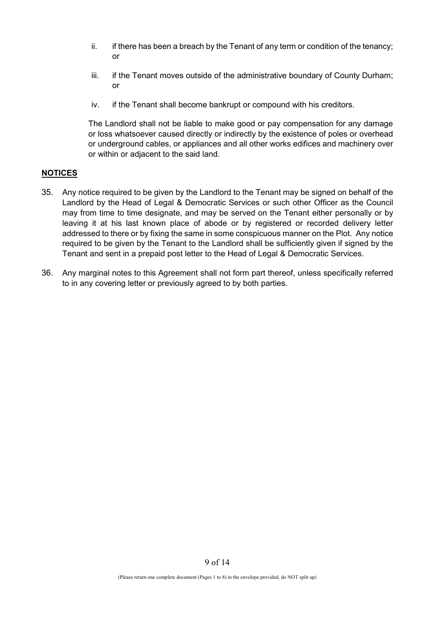- $ii.$  if there has been a breach by the Tenant of any term or condition of the tenancy; or
- iii. if the Tenant moves outside of the administrative boundary of County Durham; or
- iv. if the Tenant shall become bankrupt or compound with his creditors.

The Landlord shall not be liable to make good or pay compensation for any damage or loss whatsoever caused directly or indirectly by the existence of poles or overhead or underground cables, or appliances and all other works edifices and machinery over or within or adjacent to the said land.

## **NOTICES**

- 35. Any notice required to be given by the Landlord to the Tenant may be signed on behalf of the Landlord by the Head of Legal & Democratic Services or such other Officer as the Council may from time to time designate, and may be served on the Tenant either personally or by leaving it at his last known place of abode or by registered or recorded delivery letter addressed to there or by fixing the same in some conspicuous manner on the Plot. Any notice required to be given by the Tenant to the Landlord shall be sufficiently given if signed by the Tenant and sent in a prepaid post letter to the Head of Legal & Democratic Services.
- 36. Any marginal notes to this Agreement shall not form part thereof, unless specifically referred to in any covering letter or previously agreed to by both parties.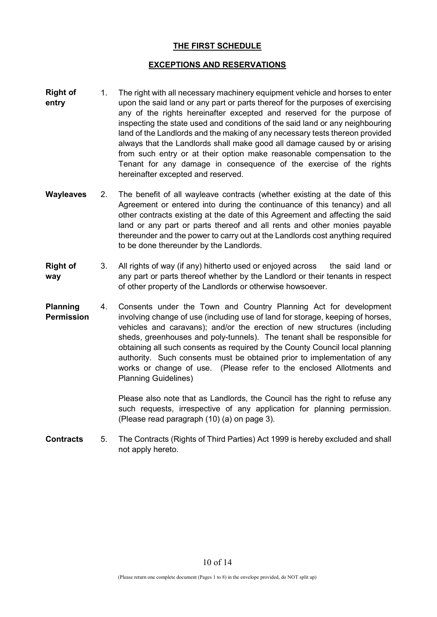## **THE FIRST SCHEDULE**

## **EXCEPTIONS AND RESERVATIONS**

- **Right of entry** 1. The right with all necessary machinery equipment vehicle and horses to enter upon the said land or any part or parts thereof for the purposes of exercising any of the rights hereinafter excepted and reserved for the purpose of inspecting the state used and conditions of the said land or any neighbouring land of the Landlords and the making of any necessary tests thereon provided always that the Landlords shall make good all damage caused by or arising from such entry or at their option make reasonable compensation to the Tenant for any damage in consequence of the exercise of the rights hereinafter excepted and reserved.
- **Wayleaves** 2. The benefit of all wayleave contracts (whether existing at the date of this Agreement or entered into during the continuance of this tenancy) and all other contracts existing at the date of this Agreement and affecting the said land or any part or parts thereof and all rents and other monies payable thereunder and the power to carry out at the Landlords cost anything required to be done thereunder by the Landlords.
- **Right of way** 3. All rights of way (if any) hitherto used or enjoyed across the said land or any part or parts thereof whether by the Landlord or their tenants in respect of other property of the Landlords or otherwise howsoever.
- **Planning Permission** 4. Consents under the Town and Country Planning Act for development involving change of use (including use of land for storage, keeping of horses, vehicles and caravans); and/or the erection of new structures (including sheds, greenhouses and poly-tunnels). The tenant shall be responsible for obtaining all such consents as required by the County Council local planning authority. Such consents must be obtained prior to implementation of any works or change of use. (Please refer to the enclosed Allotments and Planning Guidelines)

Please also note that as Landlords, the Council has the right to refuse any such requests, irrespective of any application for planning permission. (Please read paragraph (10) (a) on page 3).

**Contracts** 5. The Contracts (Rights of Third Parties) Act 1999 is hereby excluded and shall not apply hereto.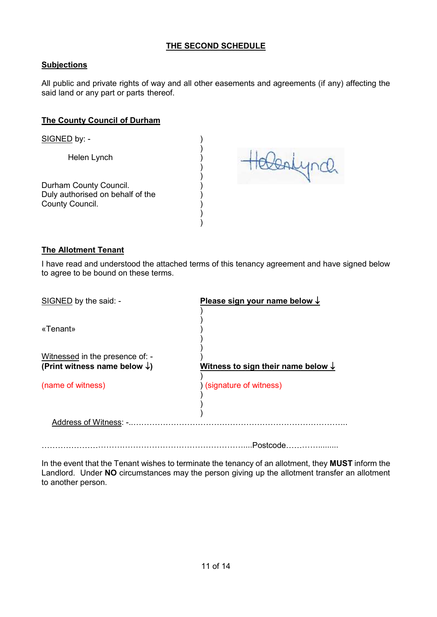# **THE SECOND SCHEDULE**

# **Subjections**

All public and private rights of way and all other easements and agreements (if any) affecting the said land or any part or parts thereof.

)

) )

) ) ) ) )

## **The County Council of Durham**

SIGNED by: - (1)

Helen Lynch (1999)

Durham County Council. Duly authorised on behalf of the County Council.

telentyrd.

## **The Allotment Tenant**

I have read and understood the attached terms of this tenancy agreement and have signed below to agree to be bound on these terms.

| SIGNED by the said: -                                                       | Please sign your name below $\downarrow$      |
|-----------------------------------------------------------------------------|-----------------------------------------------|
| «Tenant»                                                                    |                                               |
| Witnessed in the presence of: -<br>(Print witness name below $\downarrow$ ) | Witness to sign their name below $\downarrow$ |
| (name of witness)                                                           | ) (signature of witness)                      |
| Address of Witness: -                                                       |                                               |

…………………………………………………………………....Postcode………….........

In the event that the Tenant wishes to terminate the tenancy of an allotment, they **MUST** inform the Landlord. Under **NO** circumstances may the person giving up the allotment transfer an allotment to another person.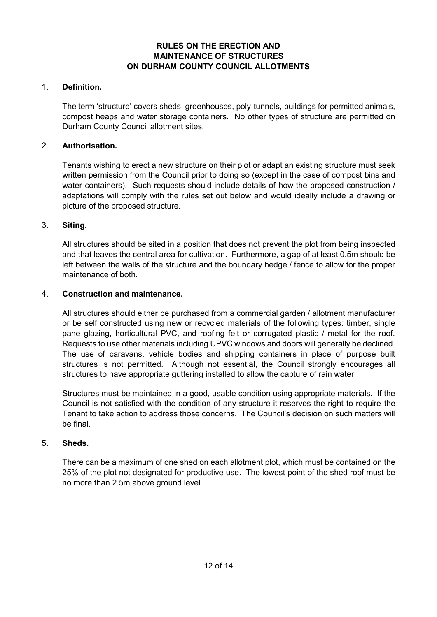# **RULES ON THE ERECTION AND MAINTENANCE OF STRUCTURES ON DURHAM COUNTY COUNCIL ALLOTMENTS**

## 1. **Definition.**

The term 'structure' covers sheds, greenhouses, poly-tunnels, buildings for permitted animals, compost heaps and water storage containers. No other types of structure are permitted on Durham County Council allotment sites.

## 2. **Authorisation.**

Tenants wishing to erect a new structure on their plot or adapt an existing structure must seek written permission from the Council prior to doing so (except in the case of compost bins and water containers). Such requests should include details of how the proposed construction / adaptations will comply with the rules set out below and would ideally include a drawing or picture of the proposed structure.

## 3. **Siting.**

All structures should be sited in a position that does not prevent the plot from being inspected and that leaves the central area for cultivation. Furthermore, a gap of at least 0.5m should be left between the walls of the structure and the boundary hedge / fence to allow for the proper maintenance of both.

## 4. **Construction and maintenance.**

All structures should either be purchased from a commercial garden / allotment manufacturer or be self constructed using new or recycled materials of the following types: timber, single pane glazing, horticultural PVC, and roofing felt or corrugated plastic / metal for the roof. Requests to use other materials including UPVC windows and doors will generally be declined. The use of caravans, vehicle bodies and shipping containers in place of purpose built structures is not permitted. Although not essential, the Council strongly encourages all structures to have appropriate guttering installed to allow the capture of rain water.

Structures must be maintained in a good, usable condition using appropriate materials. If the Council is not satisfied with the condition of any structure it reserves the right to require the Tenant to take action to address those concerns. The Council's decision on such matters will be final.

## 5. **Sheds.**

There can be a maximum of one shed on each allotment plot, which must be contained on the 25% of the plot not designated for productive use. The lowest point of the shed roof must be no more than 2.5m above ground level.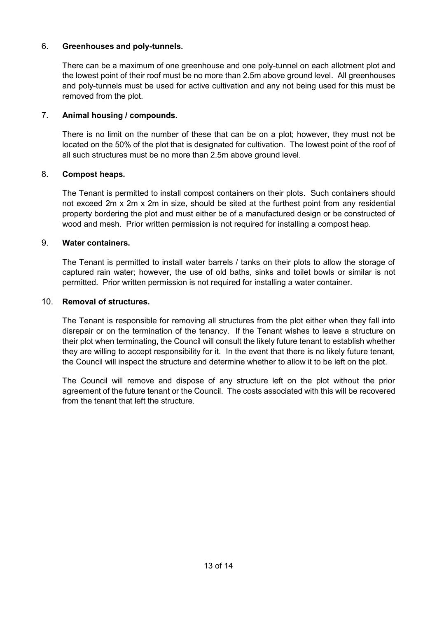# 6. **Greenhouses and poly-tunnels.**

There can be a maximum of one greenhouse and one poly-tunnel on each allotment plot and the lowest point of their roof must be no more than 2.5m above ground level. All greenhouses and poly-tunnels must be used for active cultivation and any not being used for this must be removed from the plot.

# 7. **Animal housing / compounds.**

There is no limit on the number of these that can be on a plot; however, they must not be located on the 50% of the plot that is designated for cultivation. The lowest point of the roof of all such structures must be no more than 2.5m above ground level.

# 8. **Compost heaps.**

The Tenant is permitted to install compost containers on their plots. Such containers should not exceed 2m x 2m x 2m in size, should be sited at the furthest point from any residential property bordering the plot and must either be of a manufactured design or be constructed of wood and mesh. Prior written permission is not required for installing a compost heap.

# 9. **Water containers.**

The Tenant is permitted to install water barrels / tanks on their plots to allow the storage of captured rain water; however, the use of old baths, sinks and toilet bowls or similar is not permitted. Prior written permission is not required for installing a water container.

# 10. **Removal of structures.**

The Tenant is responsible for removing all structures from the plot either when they fall into disrepair or on the termination of the tenancy. If the Tenant wishes to leave a structure on their plot when terminating, the Council will consult the likely future tenant to establish whether they are willing to accept responsibility for it. In the event that there is no likely future tenant, the Council will inspect the structure and determine whether to allow it to be left on the plot.

The Council will remove and dispose of any structure left on the plot without the prior agreement of the future tenant or the Council. The costs associated with this will be recovered from the tenant that left the structure.